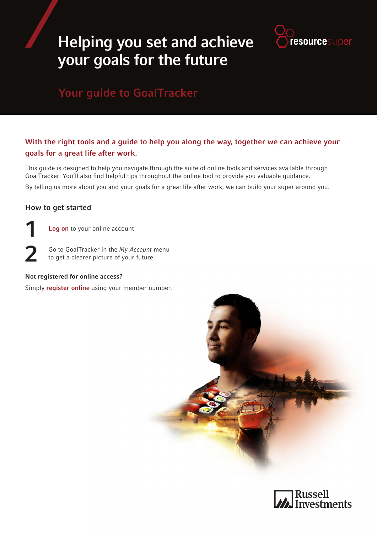# Helping you set and achieve your goals for the future



# Your guide to GoalTracker

### With the right tools and a guide to help you along the way, together we can achieve your goals for a great life after work.

This guide is designed to help you navigate through the suite of online tools and services available through GoalTracker. You'll also find helpful tips throughout the online tool to provide you valuable guidance.

By telling us more about you and your goals for a great life after work, we can build your super around you.

### How to get started

2

1 [Log on](https://russellinvestments.com.au/login) to your online account

> Go to GoalTracker in the *My Account* menu to get a clearer picture of your future.

#### Not registered for online access?

Simply **[register online](https://russellinvestments.com.au/register)** using your member number.



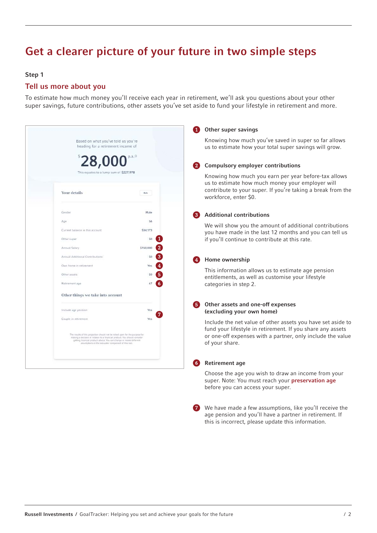# Get a clearer picture of your future in two simple steps

#### Step 1

### Tell us more about you

To estimate how much money you'll receive each year in retirement, we'll ask you questions about your other super savings, future contributions, other assets you've set aside to fund your lifestyle in retirement and more.

|  |                                                                                                                                                                                                                                                                                          |                | Other super savings                                                                                                                                                     |  |
|--|------------------------------------------------------------------------------------------------------------------------------------------------------------------------------------------------------------------------------------------------------------------------------------------|----------------|-------------------------------------------------------------------------------------------------------------------------------------------------------------------------|--|
|  | Based on what you've told us you're<br>heading for a retirement income of                                                                                                                                                                                                                |                | Knowing how much you've saved in super so far allows<br>us to estimate how your total super savings will grow.                                                          |  |
|  |                                                                                                                                                                                                                                                                                          |                | <b>Compulsory employer contributions</b><br>$\mathbf{2}^{\circ}$                                                                                                        |  |
|  | This equates to a lump sum of \$227,978<br>Your details                                                                                                                                                                                                                                  | Edit           | Knowing how much you earn per year before-tax allows<br>us to estimate how much money your employer will<br>contribute to your super. If you're taking a break from the |  |
|  |                                                                                                                                                                                                                                                                                          |                | workforce, enter \$0.                                                                                                                                                   |  |
|  | Gender                                                                                                                                                                                                                                                                                   | Male           | <b>Additional contributions</b>                                                                                                                                         |  |
|  | Age                                                                                                                                                                                                                                                                                      | 56             | We will show you the amount of additional contributions                                                                                                                 |  |
|  | Current balance in this account<br>Other super                                                                                                                                                                                                                                           | \$34,173<br>S0 | you have made in the last 12 months and you can tell us<br>if you'll continue to contribute at this rate.                                                               |  |
|  | Annual Salary                                                                                                                                                                                                                                                                            | \$150,000      |                                                                                                                                                                         |  |
|  | Annual Additional Contributions                                                                                                                                                                                                                                                          |                | Home ownership                                                                                                                                                          |  |
|  | Own home in retirement                                                                                                                                                                                                                                                                   |                |                                                                                                                                                                         |  |
|  | Other assets                                                                                                                                                                                                                                                                             |                | This information allows us to estimate age pension<br>entitlements, as well as customise your lifestyle                                                                 |  |
|  | Retirement age                                                                                                                                                                                                                                                                           | 6.<br>67       | categories in step 2.                                                                                                                                                   |  |
|  | Other things we take into account                                                                                                                                                                                                                                                        |                |                                                                                                                                                                         |  |
|  | Include age pension                                                                                                                                                                                                                                                                      | Yes            | Other assets and one-off expenses<br>(excluding your own home)                                                                                                          |  |
|  | Couple in retirement                                                                                                                                                                                                                                                                     | Yes            | Include the net value of other assets you have set aside to<br>fund your lifestyle in retirement. If you share any assets                                               |  |
|  | The results of this projection should not be relied upon for the purpose for<br>making a decision in relation to a financial product. You should consider<br>gatting financial product advice. You can change or model different<br>assumptions in the simulator component of this tool. |                | or one-off expenses with a partner, only include the value<br>of your share.                                                                                            |  |
|  |                                                                                                                                                                                                                                                                                          |                | <b>Retirement age</b>                                                                                                                                                   |  |
|  |                                                                                                                                                                                                                                                                                          |                | Choose the age you wish to draw an income from your<br>super. Note: You must reach your preservation age<br>before you can access your super.                           |  |

**7** We have made a few assumptions, like you'll receive the age pension and you'll have a partner in retirement. If this is incorrect, please update this information.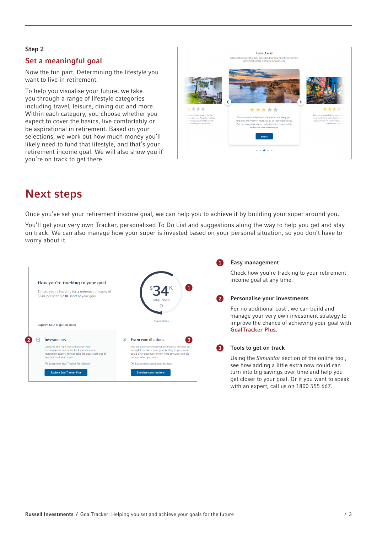#### Step 2

### Set a meaningful goal

Now the fun part. Determining the lifestyle you want to live in retirement.

To help you visualise your future, we take you through a range of lifestyle categories including travel, leisure, dining out and more. Within each category, you choose whether you expect to cover the basics, live comfortably or be aspirational in retirement. Based on your selections, we work out how much money you'll likely need to fund that lifestyle, and that's your retirement income goal. We will also show you if you're on track to get there.



## Next steps

Once you've set your retirement income goal, we can help you to achieve it by building your super around you.

You'll get your very own Tracker, personalised To Do List and suggestions along the way to help you get and stay on track. We can also manage how your super is invested based on your personal situation, so you don't have to worry about it.